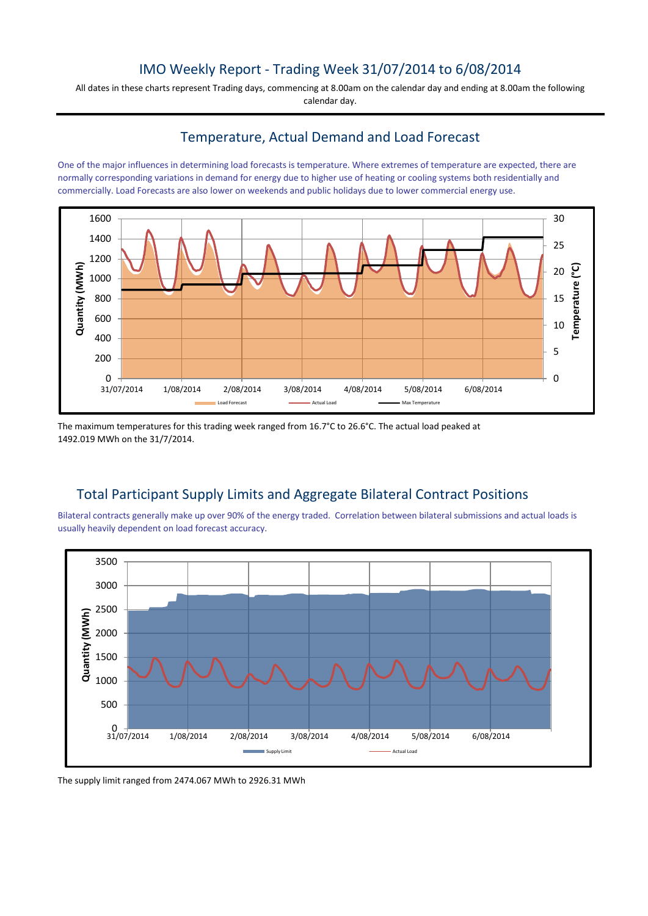### IMO Weekly Report - Trading Week 31/07/2014 to 6/08/2014

All dates in these charts represent Trading days, commencing at 8.00am on the calendar day and ending at 8.00am the following calendar day.

### Temperature, Actual Demand and Load Forecast

One of the major influences in determining load forecasts is temperature. Where extremes of temperature are expected, there are normally corresponding variations in demand for energy due to higher use of heating or cooling systems both residentially and commercially. Load Forecasts are also lower on weekends and public holidays due to lower commercial energy use.



The maximum temperatures for this trading week ranged from 16.7°C to 26.6°C. The actual load peaked at 1492.019 MWh on the 31/7/2014.

# Total Participant Supply Limits and Aggregate Bilateral Contract Positions

Bilateral contracts generally make up over 90% of the energy traded. Correlation between bilateral submissions and actual loads is usually heavily dependent on load forecast accuracy.



The supply limit ranged from 2474.067 MWh to 2926.31 MWh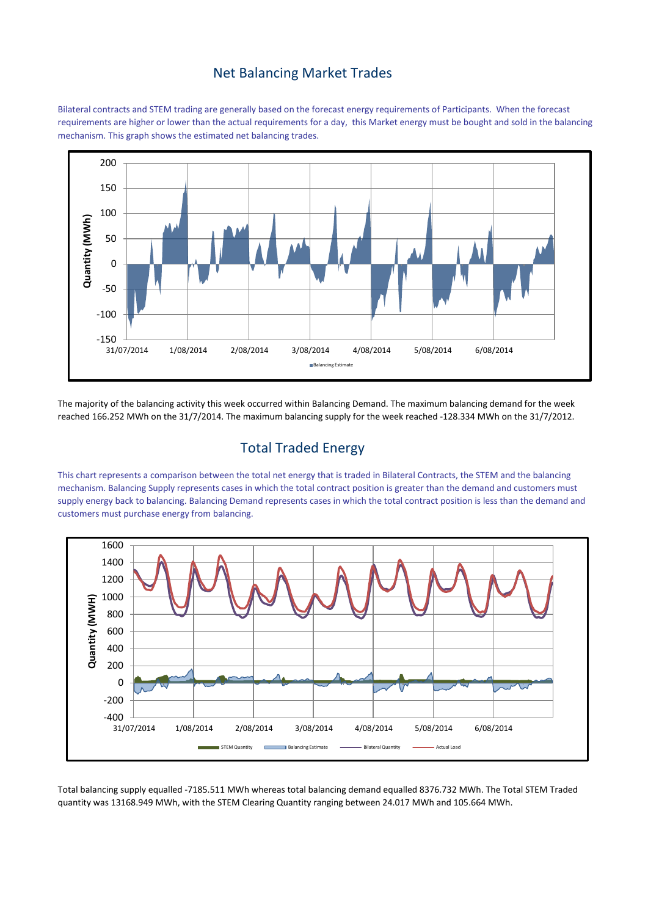#### Net Balancing Market Trades

Bilateral contracts and STEM trading are generally based on the forecast energy requirements of Participants. When the forecast requirements are higher or lower than the actual requirements for a day, this Market energy must be bought and sold in the balancing mechanism. This graph shows the estimated net balancing trades.



The majority of the balancing activity this week occurred within Balancing Demand. The maximum balancing demand for the week reached 166.252 MWh on the 31/7/2014. The maximum balancing supply for the week reached -128.334 MWh on the 31/7/2012.

## Total Traded Energy

This chart represents a comparison between the total net energy that is traded in Bilateral Contracts, the STEM and the balancing mechanism. Balancing Supply represents cases in which the total contract position is greater than the demand and customers must supply energy back to balancing. Balancing Demand represents cases in which the total contract position is less than the demand and customers must purchase energy from balancing.



Total balancing supply equalled -7185.511 MWh whereas total balancing demand equalled 8376.732 MWh. The Total STEM Traded quantity was 13168.949 MWh, with the STEM Clearing Quantity ranging between 24.017 MWh and 105.664 MWh.